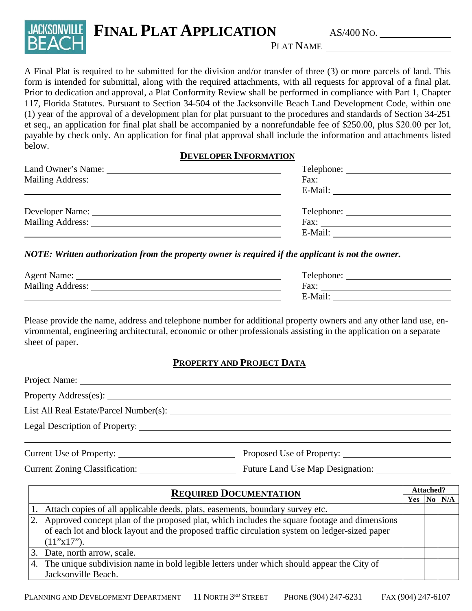

# PLAT NAME

A Final Plat is required to be submitted for the division and/or transfer of three (3) or more parcels of land. This form is intended for submittal, along with the required attachments, with all requests for approval of a final plat. Prior to dedication and approval, a Plat Conformity Review shall be performed in compliance with Part 1, Chapter 117, Florida Statutes. Pursuant to Section 34-504 of the Jacksonville Beach Land Development Code, within one (1) year of the approval of a development plan for plat pursuant to the procedures and standards of Section 34-251 et seq., an application for final plat shall be accompanied by a nonrefundable fee of \$250.00, plus \$20.00 per lot, payable by check only. An application for final plat approval shall include the information and attachments listed below.

### **DEVELOPER INFORMATION**

|                         | Fax: The contract of the contract of the contract of the contract of the contract of the contract of the contract of the contract of the contract of the contract of the contract of the contract of the contract of the contr |
|-------------------------|--------------------------------------------------------------------------------------------------------------------------------------------------------------------------------------------------------------------------------|
|                         | E-Mail: $\qquad \qquad$                                                                                                                                                                                                        |
| Developer Name:         | Telephone:                                                                                                                                                                                                                     |
| <b>Mailing Address:</b> | Fax: The contract of the contract of the contract of the contract of the contract of the contract of the contract of the contract of the contract of the contract of the contract of the contract of the contract of the contr |
|                         | E-Mail:                                                                                                                                                                                                                        |

### *NOTE: Written authorization from the property owner is required if the applicant is not the owner.*

| <b>Agent Name:</b>      | l'elephone: |
|-------------------------|-------------|
| <b>Mailing Address:</b> | Fax         |
|                         | E-Mail.     |

Please provide the name, address and telephone number for additional property owners and any other land use, environmental, engineering architectural, economic or other professionals assisting in the application on a separate sheet of paper.

# **PROPERTY AND PROJECT DATA**

| Current Use of Property: |  |
|--------------------------|--|

Current Zoning Classification: Future Land Use Map Designation:

| <b>REQUIRED DOCUMENTATION</b> |                                                                                                | <b>Attached?</b> |  |            |
|-------------------------------|------------------------------------------------------------------------------------------------|------------------|--|------------|
|                               |                                                                                                |                  |  | $No$ $N/A$ |
|                               | Attach copies of all applicable deeds, plats, easements, boundary survey etc.                  |                  |  |            |
| 2.                            | Approved concept plan of the proposed plat, which includes the square footage and dimensions   |                  |  |            |
|                               | of each lot and block layout and the proposed traffic circulation system on ledger-sized paper |                  |  |            |
|                               | $(11"x17")$ .                                                                                  |                  |  |            |
|                               | Date, north arrow, scale.                                                                      |                  |  |            |
| 4.                            | The unique subdivision name in bold legible letters under which should appear the City of      |                  |  |            |
|                               | Jacksonville Beach.                                                                            |                  |  |            |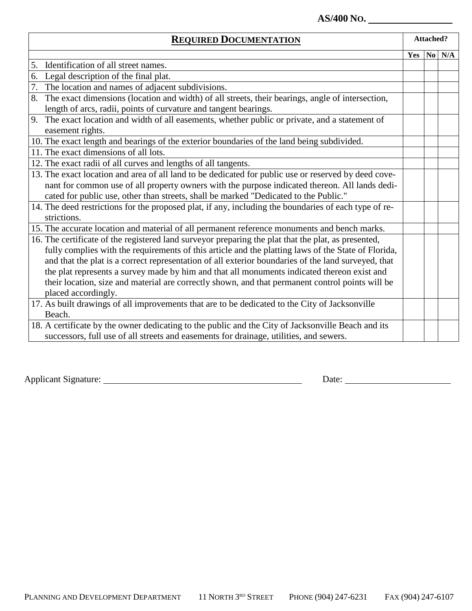## **AS/400 NO.**

| <b>REQUIRED DOCUMENTATION</b>                                                                          |     | <b>Attached?</b> |  |
|--------------------------------------------------------------------------------------------------------|-----|------------------|--|
|                                                                                                        | Yes | $No$ $N/A$       |  |
| Identification of all street names.<br>5.                                                              |     |                  |  |
| 6. Legal description of the final plat.                                                                |     |                  |  |
| 7.<br>The location and names of adjacent subdivisions.                                                 |     |                  |  |
| 8.<br>The exact dimensions (location and width) of all streets, their bearings, angle of intersection, |     |                  |  |
| length of arcs, radii, points of curvature and tangent bearings.                                       |     |                  |  |
| 9.<br>The exact location and width of all easements, whether public or private, and a statement of     |     |                  |  |
| easement rights.                                                                                       |     |                  |  |
| 10. The exact length and bearings of the exterior boundaries of the land being subdivided.             |     |                  |  |
| 11. The exact dimensions of all lots.                                                                  |     |                  |  |
| 12. The exact radii of all curves and lengths of all tangents.                                         |     |                  |  |
| 13. The exact location and area of all land to be dedicated for public use or reserved by deed cove-   |     |                  |  |
| nant for common use of all property owners with the purpose indicated thereon. All lands dedi-         |     |                  |  |
| cated for public use, other than streets, shall be marked "Dedicated to the Public."                   |     |                  |  |
| 14. The deed restrictions for the proposed plat, if any, including the boundaries of each type of re-  |     |                  |  |
| strictions.                                                                                            |     |                  |  |
| 15. The accurate location and material of all permanent reference monuments and bench marks.           |     |                  |  |
| 16. The certificate of the registered land surveyor preparing the plat that the plat, as presented,    |     |                  |  |
| fully complies with the requirements of this article and the platting laws of the State of Florida,    |     |                  |  |
| and that the plat is a correct representation of all exterior boundaries of the land surveyed, that    |     |                  |  |
| the plat represents a survey made by him and that all monuments indicated thereon exist and            |     |                  |  |
| their location, size and material are correctly shown, and that permanent control points will be       |     |                  |  |
| placed accordingly.                                                                                    |     |                  |  |
| 17. As built drawings of all improvements that are to be dedicated to the City of Jacksonville         |     |                  |  |
| Beach.                                                                                                 |     |                  |  |
| 18. A certificate by the owner dedicating to the public and the City of Jacksonville Beach and its     |     |                  |  |
| successors, full use of all streets and easements for drainage, utilities, and sewers.                 |     |                  |  |

Applicant Signature: Date: Date: Date: Date: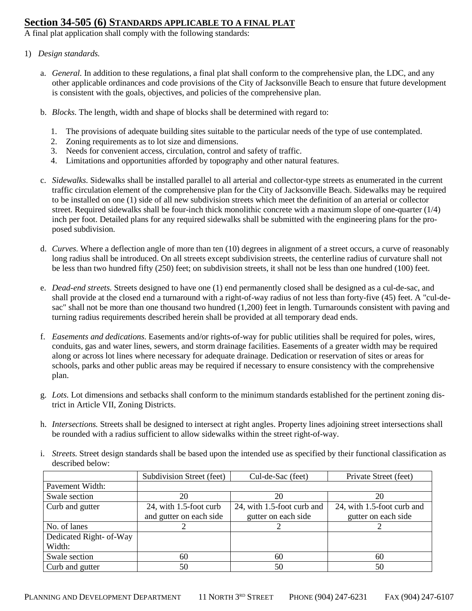### **Section 34-505 (6) STANDARDS APPLICABLE TO A FINAL PLAT**

A final plat application shall comply with the following standards:

#### 1) *Design standards.*

- a. *General.* In addition to these regulations, a final plat shall conform to the comprehensive plan, the LDC, and any other applicable ordinances and code provisions of the City of Jacksonville Beach to ensure that future development is consistent with the goals, objectives, and policies of the comprehensive plan.
- b. *Blocks.* The length, width and shape of blocks shall be determined with regard to:
	- 1. The provisions of adequate building sites suitable to the particular needs of the type of use contemplated.
	- 2. Zoning requirements as to lot size and dimensions.
	- 3. Needs for convenient access, circulation, control and safety of traffic.
	- 4. Limitations and opportunities afforded by topography and other natural features.
- c. *Sidewalks.* Sidewalks shall be installed parallel to all arterial and collector-type streets as enumerated in the current traffic circulation element of the comprehensive plan for the City of Jacksonville Beach. Sidewalks may be required to be installed on one (1) side of all new subdivision streets which meet the definition of an arterial or collector street. Required sidewalks shall be four-inch thick monolithic concrete with a maximum slope of one-quarter (1/4) inch per foot. Detailed plans for any required sidewalks shall be submitted with the engineering plans for the proposed subdivision.
- d. *Curves.* Where a deflection angle of more than ten (10) degrees in alignment of a street occurs, a curve of reasonably long radius shall be introduced. On all streets except subdivision streets, the centerline radius of curvature shall not be less than two hundred fifty (250) feet; on subdivision streets, it shall not be less than one hundred (100) feet.
- e. *Dead-end streets.* Streets designed to have one (1) end permanently closed shall be designed as a cul-de-sac, and shall provide at the closed end a turnaround with a right-of-way radius of not less than forty-five (45) feet. A "cul-desac" shall not be more than one thousand two hundred (1,200) feet in length. Turnarounds consistent with paving and turning radius requirements described herein shall be provided at all temporary dead ends.
- f. *Easements and dedications.* Easements and/or rights-of-way for public utilities shall be required for poles, wires, conduits, gas and water lines, sewers, and storm drainage facilities. Easements of a greater width may be required along or across lot lines where necessary for adequate drainage. Dedication or reservation of sites or areas for schools, parks and other public areas may be required if necessary to ensure consistency with the comprehensive plan.
- g. *Lots.* Lot dimensions and setbacks shall conform to the minimum standards established for the pertinent zoning district in Article VII, Zoning Districts.
- h. *Intersections.* Streets shall be designed to intersect at right angles. Property lines adjoining street intersections shall be rounded with a radius sufficient to allow sidewalks within the street right-of-way.
- i. *Streets.* Street design standards shall be based upon the intended use as specified by their functional classification as described below:

|                         | Subdivision Street (feet) | Cul-de-Sac (feet)          | Private Street (feet)      |
|-------------------------|---------------------------|----------------------------|----------------------------|
| Pavement Width:         |                           |                            |                            |
| Swale section           | 20                        | 20                         | 20                         |
| Curb and gutter         | 24, with 1.5-foot curb    | 24, with 1.5-foot curb and | 24, with 1.5-foot curb and |
|                         | and gutter on each side   | gutter on each side        | gutter on each side        |
| No. of lanes            |                           |                            |                            |
| Dedicated Right- of-Way |                           |                            |                            |
| Width:                  |                           |                            |                            |
| Swale section           | 60                        | 60                         | 60                         |
| Curb and gutter         | 50                        | 50                         | 50                         |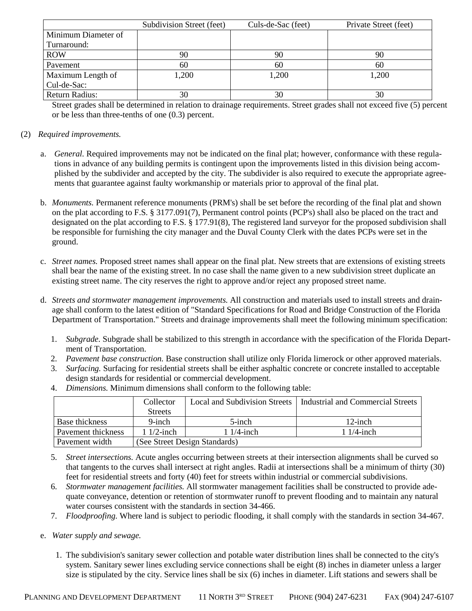|                       | Subdivision Street (feet) | Culs-de-Sac (feet) | Private Street (feet) |
|-----------------------|---------------------------|--------------------|-----------------------|
| Minimum Diameter of   |                           |                    |                       |
| Turnaround:           |                           |                    |                       |
| <b>ROW</b>            | 90                        | 90                 | 90                    |
| Pavement              | 60                        | 60                 | 60                    |
| Maximum Length of     | 1,200                     | 1,200              | 1,200                 |
| Cul-de-Sac:           |                           |                    |                       |
| <b>Return Radius:</b> | 30                        | 30                 | 30                    |

Street grades shall be determined in relation to drainage requirements. Street grades shall not exceed five (5) percent or be less than three-tenths of one (0.3) percent.

#### (2) *Required improvements.*

- General. Required improvements may not be indicated on the final plat; however, conformance with these regulations in advance of any building permits is contingent upon the improvements listed in this division being accomplished by the subdivider and accepted by the city. The subdivider is also required to execute the appropriate agreements that guarantee against faulty workmanship or materials prior to approval of the final plat.
- b. *Monuments.* Permanent reference monuments (PRM's) shall be set before the recording of the final plat and shown on the plat according to F.S. § 3177.091(7), Permanent control points (PCP's) shall also be placed on the tract and designated on the plat according to F.S. § 177.91(8), The registered land surveyor for the proposed subdivision shall be responsible for furnishing the city manager and the Duval County Clerk with the dates PCPs were set in the ground.
- c. *Street names.* Proposed street names shall appear on the final plat. New streets that are extensions of existing streets shall bear the name of the existing street. In no case shall the name given to a new subdivision street duplicate an existing street name. The city reserves the right to approve and/or reject any proposed street name.
- d. *Streets and stormwater management improvements.* All construction and materials used to install streets and drainage shall conform to the latest edition of "Standard Specifications for Road and Bridge Construction of the Florida Department of Transportation." Streets and drainage improvements shall meet the following minimum specification:
	- 1. *Subgrade.* Subgrade shall be stabilized to this strength in accordance with the specification of the Florida Department of Transportation.
	- 2. *Pavement base construction.* Base construction shall utilize only Florida limerock or other approved materials.
	- 3. *Surfacing.* Surfacing for residential streets shall be either asphaltic concrete or concrete installed to acceptable design standards for residential or commercial development.
	- 4. *Dimensions.* Minimum dimensions shall conform to the following table:

|                    | Collector                     | Local and Subdivision Streets | Industrial and Commercial Streets |
|--------------------|-------------------------------|-------------------------------|-----------------------------------|
|                    | <b>Streets</b>                |                               |                                   |
| Base thickness     | $9$ -inch                     | $5$ -inch                     | $12$ -inch                        |
| Payement thickness | $1/2$ -inch                   | $1/4$ -inch                   | $11/4$ -inch                      |
| Pavement width     | (See Street Design Standards) |                               |                                   |

- 5. *Street intersections.* Acute angles occurring between streets at their intersection alignments shall be curved so that tangents to the curves shall intersect at right angles. Radii at intersections shall be a minimum of thirty (30) feet for residential streets and forty (40) feet for streets within industrial or commercial subdivisions.
- 6. *Stormwater management facilities.* All stormwater management facilities shall be constructed to provide adequate conveyance, detention or retention of stormwater runoff to prevent flooding and to maintain any natural water courses consistent with the standards in section 34-466.
- 7. *Floodproofing.* Where land is subject to periodic flooding, it shall comply with the standards in section 34-467.

#### e. *Water supply and sewage.*

1. The subdivision's sanitary sewer collection and potable water distribution lines shall be connected to the city's system. Sanitary sewer lines excluding service connections shall be eight (8) inches in diameter unless a larger size is stipulated by the city. Service lines shall be six (6) inches in diameter. Lift stations and sewers shall be